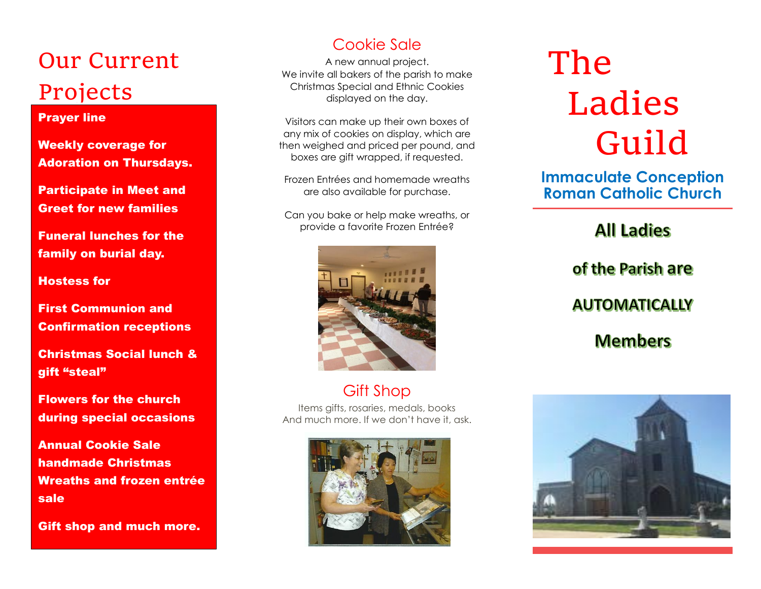## Our Current Projects

#### Prayer line

Weekly coverage for Adoration on Thursdays.

Participate in Meet and Greet for new families

Funeral lunches for the family on burial day.

Hostess for

First Communion and Confirmation receptions

Christmas Social lunch & gift "steal"

Flowers for the church during special occasions

Annual Cookie Sale handmade Christmas Wreaths and frozen entrée sale

Gift shop and much more.

### Cookie Sale

A new annual project. We invite all bakers of the parish to make Christmas Special and Ethnic Cookies displayed on the day.

Visitors can make up their own boxes of any mix of cookies on display, which are then weighed and priced per pound, and boxes are gift wrapped, if requested.

Frozen Entrées and homemade wreaths are also available for purchase.

Can you bake or help make wreaths, or provide a favorite Frozen Entrée?



Gift Shop

Items gifts, rosaries, medals, books And much more. If we don't have it, ask.



# The Ladies Guild

**Immaculate Conception Roman Catholic Church**

## **All Ladies** of the Parish are **AUTOMATICALLY Members**